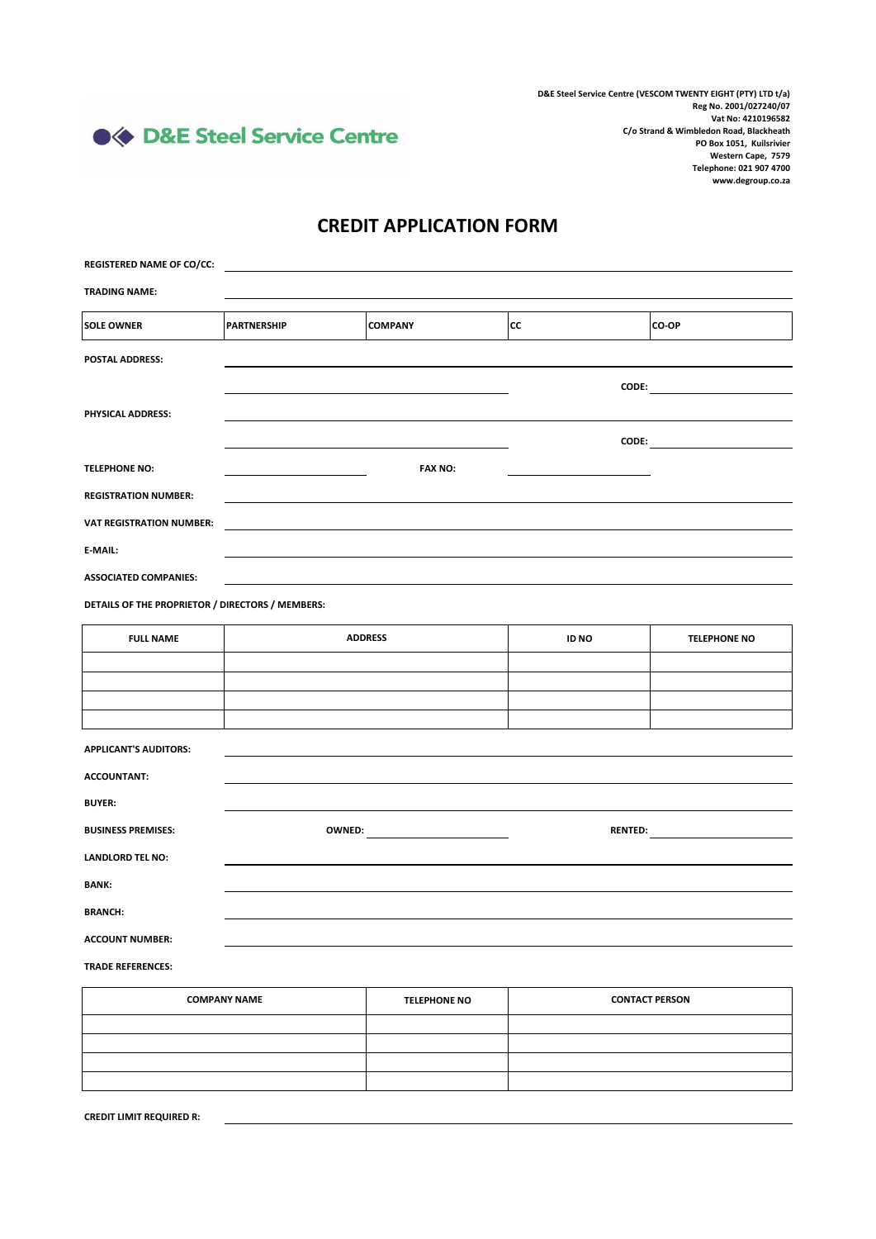● ◆ D&E Steel Service Centre

**D&E Steel Service Centre (VESCOM TWENTY EIGHT (PTY) LTD t/a) Reg No. 2001/027240/07 Vat No: 4210196582 C/o Strand & Wimbledon Road, Blackheath PO Box 1051, Kuilsrivier Western Cape, 7579 Telephone: 021 907 4700 www.degroup.co.za**

## **CREDIT APPLICATION FORM**

| <b>REGISTERED NAME OF CO/CC:</b>                               |                                                                                                                                                                                                                                |                     |                                          |                     |
|----------------------------------------------------------------|--------------------------------------------------------------------------------------------------------------------------------------------------------------------------------------------------------------------------------|---------------------|------------------------------------------|---------------------|
| <b>TRADING NAME:</b>                                           |                                                                                                                                                                                                                                |                     |                                          |                     |
| <b>SOLE OWNER</b>                                              | <b>PARTNERSHIP</b>                                                                                                                                                                                                             | <b>COMPANY</b>      | <b>CC</b>                                | CO-OP               |
| POSTAL ADDRESS:                                                |                                                                                                                                                                                                                                |                     |                                          |                     |
|                                                                |                                                                                                                                                                                                                                |                     |                                          |                     |
| PHYSICAL ADDRESS:                                              |                                                                                                                                                                                                                                |                     |                                          |                     |
|                                                                |                                                                                                                                                                                                                                |                     |                                          |                     |
| <b>TELEPHONE NO:</b>                                           |                                                                                                                                                                                                                                | <b>FAX NO:</b>      |                                          |                     |
| <b>REGISTRATION NUMBER:</b><br><b>VAT REGISTRATION NUMBER:</b> |                                                                                                                                                                                                                                |                     |                                          |                     |
| E-MAIL:                                                        |                                                                                                                                                                                                                                |                     |                                          |                     |
| <b>ASSOCIATED COMPANIES:</b>                                   |                                                                                                                                                                                                                                |                     |                                          |                     |
| DETAILS OF THE PROPRIETOR / DIRECTORS / MEMBERS:               |                                                                                                                                                                                                                                |                     |                                          |                     |
| <b>FULL NAME</b>                                               |                                                                                                                                                                                                                                | <b>ADDRESS</b>      | ID NO                                    | <b>TELEPHONE NO</b> |
|                                                                |                                                                                                                                                                                                                                |                     |                                          |                     |
|                                                                |                                                                                                                                                                                                                                |                     |                                          |                     |
|                                                                |                                                                                                                                                                                                                                |                     |                                          |                     |
| <b>APPLICANT'S AUDITORS:</b>                                   |                                                                                                                                                                                                                                |                     |                                          |                     |
| <b>ACCOUNTANT:</b>                                             |                                                                                                                                                                                                                                |                     |                                          |                     |
| <b>BUYER:</b>                                                  |                                                                                                                                                                                                                                |                     |                                          |                     |
| <b>BUSINESS PREMISES:</b>                                      | OWNED: New York Products and Contract Contract Contract Contract Contract Contract Contract Contract Contract Contract Contract Contract Contract Contract Contract Contract Contract Contract Contract Contract Contract Cont |                     | RENTED: <b>All and Service Contracts</b> |                     |
| <b>LANDLORD TEL NO:</b>                                        |                                                                                                                                                                                                                                |                     |                                          |                     |
| <b>BANK:</b>                                                   |                                                                                                                                                                                                                                |                     |                                          |                     |
| <b>BRANCH:</b>                                                 |                                                                                                                                                                                                                                |                     |                                          |                     |
| <b>ACCOUNT NUMBER:</b>                                         |                                                                                                                                                                                                                                |                     |                                          |                     |
| <b>TRADE REFERENCES:</b>                                       |                                                                                                                                                                                                                                |                     |                                          |                     |
| <b>COMPANY NAME</b>                                            |                                                                                                                                                                                                                                | <b>TELEPHONE NO</b> | <b>CONTACT PERSON</b>                    |                     |
|                                                                |                                                                                                                                                                                                                                |                     |                                          |                     |

| <b>COMPANY NAME</b> | <b>TELEPHONE NO</b> | <b>CONTACT PERSON</b> |
|---------------------|---------------------|-----------------------|
|                     |                     |                       |
|                     |                     |                       |
|                     |                     |                       |
|                     |                     |                       |
|                     |                     |                       |

**CREDIT LIMIT REQUIRED R:**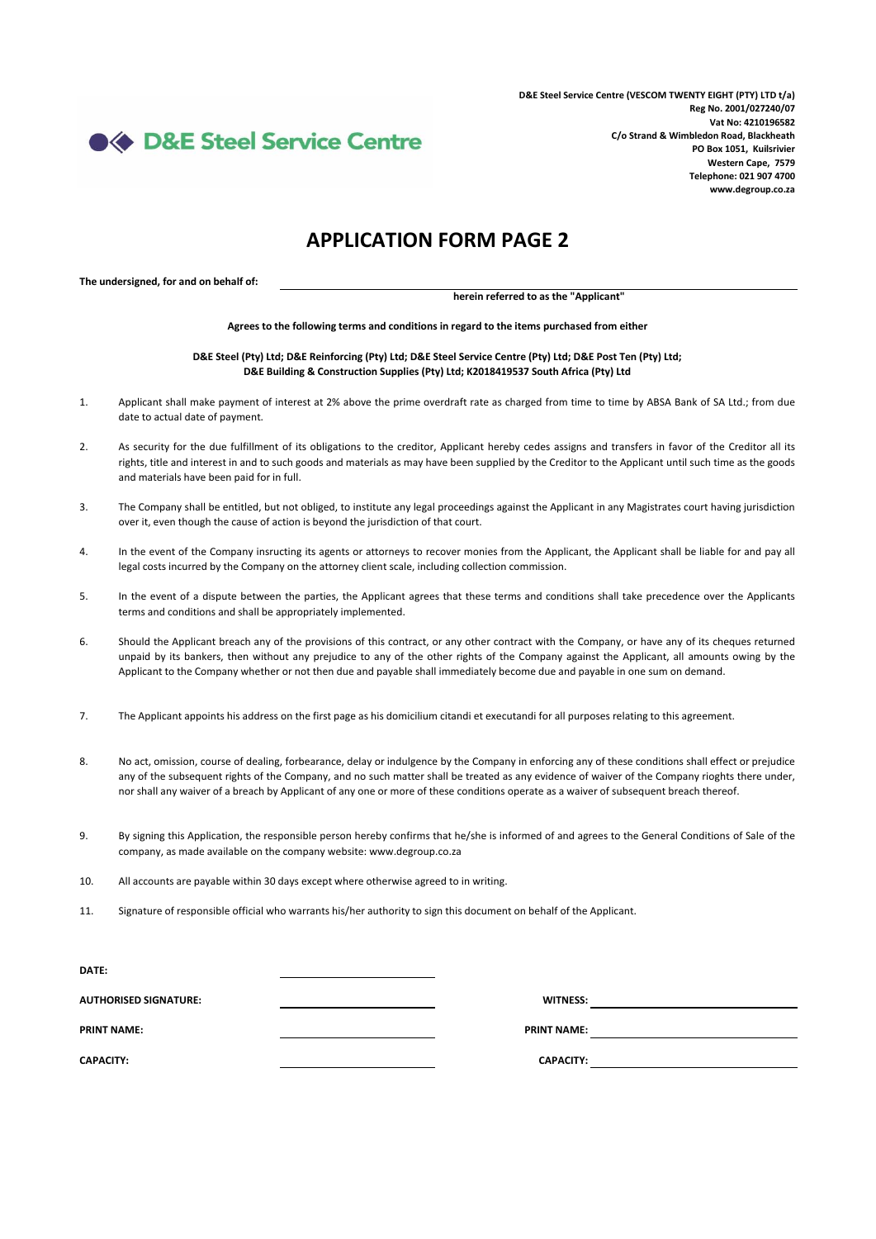**S&E Steel Service Centre** 

**D&E Steel Service Centre (VESCOM TWENTY EIGHT (PTY) LTD t/a) Reg No. 2001/027240/07 Vat No: 4210196582 C/o Strand & Wimbledon Road, Blackheath PO Box 1051, Kuilsrivier Western Cape, 7579 Telephone: 021 907 4700 www.degroup.co.za**

## **APPLICATION FORM PAGE 2**

**The undersigned, for and on behalf of:**

**herein referred to as the "Applicant"**

**Agrees to the following terms and conditions in regard to the items purchased from either**

**D&E Steel (Pty) Ltd; D&E Reinforcing (Pty) Ltd; D&E Steel Service Centre (Pty) Ltd; D&E Post Ten (Pty) Ltd; D&E Building & Construction Supplies (Pty) Ltd; K2018419537 South Africa (Pty) Ltd**

- 1. Applicant shall make payment of interest at 2% above the prime overdraft rate as charged from time to time by ABSA Bank of SA Ltd.; from due date to actual date of payment.
- $2.5$ As security for the due fulfillment of its obligations to the creditor, Applicant hereby cedes assigns and transfers in favor of the Creditor all its rights, title and interest in and to such goods and materials as may have been supplied by the Creditor to the Applicant until such time as the goods and materials have been paid for in full.
- 3. The Company shall be entitled, but not obliged, to institute any legal proceedings against the Applicant in any Magistrates court having jurisdiction over it, even though the cause of action is beyond the jurisdiction of that court.
- 4. In the event of the Company insructing its agents or attorneys to recover monies from the Applicant, the Applicant shall be liable for and pay all legal costs incurred by the Company on the attorney client scale, including collection commission.
- 5. In the event of a dispute between the parties, the Applicant agrees that these terms and conditions shall take precedence over the Applicants terms and conditions and shall be appropriately implemented.
- 6. Should the Applicant breach any of the provisions of this contract, or any other contract with the Company, or have any of its cheques returned unpaid by its bankers, then without any prejudice to any of the other rights of the Company against the Applicant, all amounts owing by the Applicant to the Company whether or not then due and payable shall immediately become due and payable in one sum on demand.
- 7. The Applicant appoints his address on the first page as his domicilium citandi et executandi for all purposes relating to this agreement.
- 8. No act, omission, course of dealing, forbearance, delay or indulgence by the Company in enforcing any of these conditions shall effect or prejudice any of the subsequent rights of the Company, and no such matter shall be treated as any evidence of waiver of the Company rioghts there under, nor shall any waiver of a breach by Applicant of any one or more of these conditions operate as a waiver of subsequent breach thereof.
- 9. By signing this Application, the responsible person hereby confirms that he/she is informed of and agrees to the General Conditions of Sale of the company, as made available on the company website: www.degroup.co.za
- 10. All accounts are payable within 30 days except where otherwise agreed to in writing.
- 11. Signature of responsible official who warrants his/her authority to sign this document on behalf of the Applicant.

| DATE:                        |                    |  |
|------------------------------|--------------------|--|
| <b>AUTHORISED SIGNATURE:</b> | <b>WITNESS:</b>    |  |
| <b>PRINT NAME:</b>           | <b>PRINT NAME:</b> |  |
| <b>CAPACITY:</b>             | <b>CAPACITY:</b>   |  |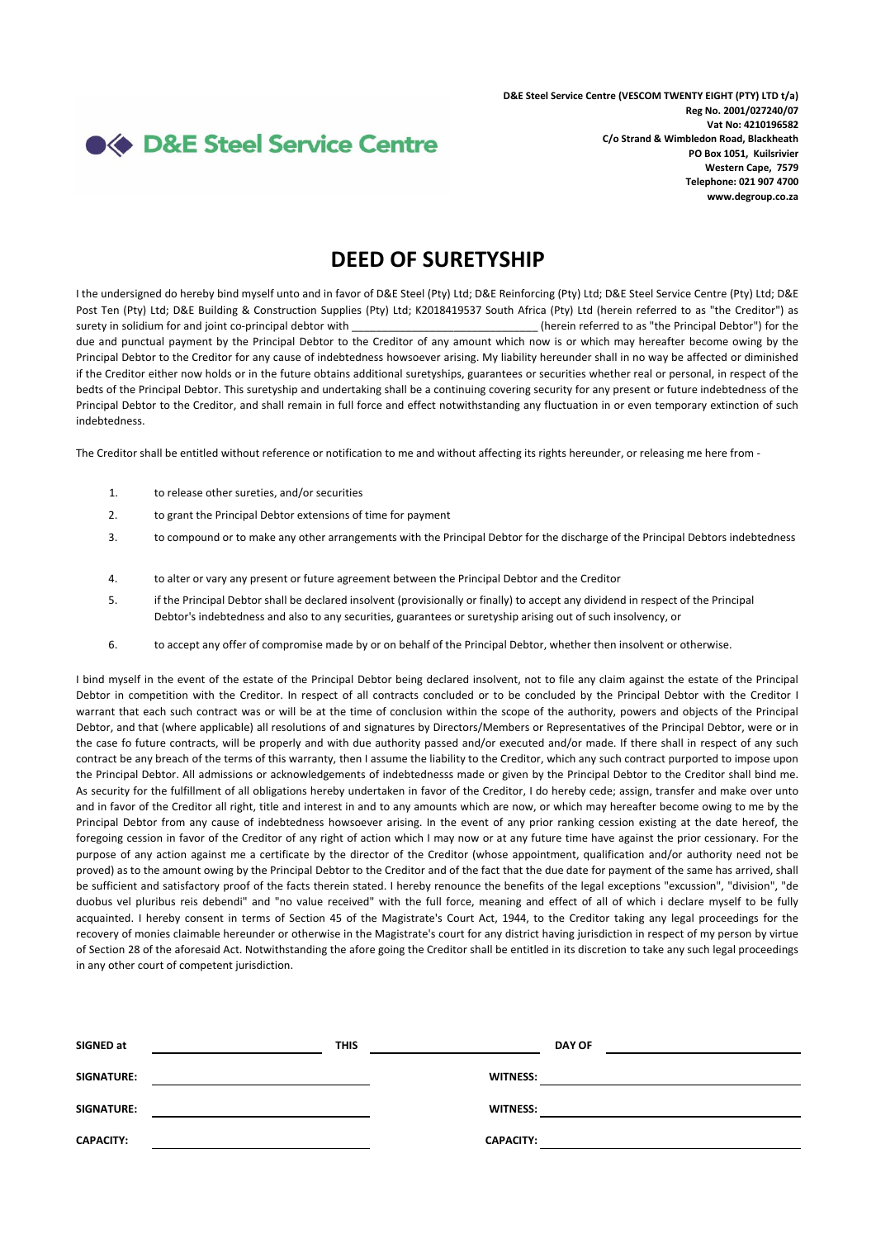

## **DEED OF SURETYSHIP**

I the undersigned do hereby bind myself unto and in favor of D&E Steel (Pty) Ltd; D&E Reinforcing (Pty) Ltd; D&E Steel Service Centre (Pty) Ltd; D&E Post Ten (Pty) Ltd; D&E Building & Construction Supplies (Pty) Ltd; K2018419537 South Africa (Pty) Ltd (herein referred to as "the Creditor") as surety in solidium for and joint co-principal debtor with \_\_\_\_\_\_\_\_\_\_\_\_\_\_\_\_\_\_\_\_\_\_\_\_\_\_\_\_\_\_\_ (herein referred to as "the Principal Debtor") for the due and punctual payment by the Principal Debtor to the Creditor of any amount which now is or which may hereafter become owing by the Principal Debtor to the Creditor for any cause of indebtedness howsoever arising. My liability hereunder shall in no way be affected or diminished if the Creditor either now holds or in the future obtains additional suretyships, guarantees or securities whether real or personal, in respect of the bedts of the Principal Debtor. This suretyship and undertaking shall be a continuing covering security for any present or future indebtedness of the Principal Debtor to the Creditor, and shall remain in full force and effect notwithstanding any fluctuation in or even temporary extinction of such indebtedness.

The Creditor shall be entitled without reference or notification to me and without affecting its rights hereunder, or releasing me here from -

- 1. to release other sureties, and/or securities
- 2. to grant the Principal Debtor extensions of time for payment
- 3. to compound or to make any other arrangements with the Principal Debtor for the discharge of the Principal Debtors indebtedness
- 4. to alter or vary any present or future agreement between the Principal Debtor and the Creditor
- 5. if the Principal Debtor shall be declared insolvent (provisionally or finally) to accept any dividend in respect of the Principal Debtor's indebtedness and also to any securities, guarantees or suretyship arising out of such insolvency, or
- 6. to accept any offer of compromise made by or on behalf of the Principal Debtor, whether then insolvent or otherwise.

I bind myself in the event of the estate of the Principal Debtor being declared insolvent, not to file any claim against the estate of the Principal Debtor in competition with the Creditor. In respect of all contracts concluded or to be concluded by the Principal Debtor with the Creditor I warrant that each such contract was or will be at the time of conclusion within the scope of the authority, powers and objects of the Principal Debtor, and that (where applicable) all resolutions of and signatures by Directors/Members or Representatives of the Principal Debtor, were or in the case fo future contracts, will be properly and with due authority passed and/or executed and/or made. If there shall in respect of any such contract be any breach of the terms of this warranty, then I assume the liability to the Creditor, which any such contract purported to impose upon the Principal Debtor. All admissions or acknowledgements of indebtednesss made or given by the Principal Debtor to the Creditor shall bind me. As security for the fulfillment of all obligations hereby undertaken in favor of the Creditor, I do hereby cede; assign, transfer and make over unto and in favor of the Creditor all right, title and interest in and to any amounts which are now, or which may hereafter become owing to me by the Principal Debtor from any cause of indebtedness howsoever arising. In the event of any prior ranking cession existing at the date hereof, the foregoing cession in favor of the Creditor of any right of action which I may now or at any future time have against the prior cessionary. For the purpose of any action against me a certificate by the director of the Creditor (whose appointment, qualification and/or authority need not be proved) as to the amount owing by the Principal Debtor to the Creditor and of the fact that the due date for payment of the same has arrived, shall be sufficient and satisfactory proof of the facts therein stated. I hereby renounce the benefits of the legal exceptions "excussion", "division", "de duobus vel pluribus reis debendi" and "no value received" with the full force, meaning and effect of all of which i declare myself to be fully acquainted. I hereby consent in terms of Section 45 of the Magistrate's Court Act, 1944, to the Creditor taking any legal proceedings for the recovery of monies claimable hereunder or otherwise in the Magistrate's court for any district having jurisdiction in respect of my person by virtue of Section 28 of the aforesaid Act. Notwithstanding the afore going the Creditor shall be entitled in its discretion to take any such legal proceedings in any other court of competent jurisdiction.

| SIGNED at         | <b>THIS</b> |                  | <b>DAY OF</b> |
|-------------------|-------------|------------------|---------------|
| <b>SIGNATURE:</b> |             | <b>WITNESS:</b>  |               |
| <b>SIGNATURE:</b> |             | <b>WITNESS:</b>  |               |
| <b>CAPACITY:</b>  |             | <b>CAPACITY:</b> |               |